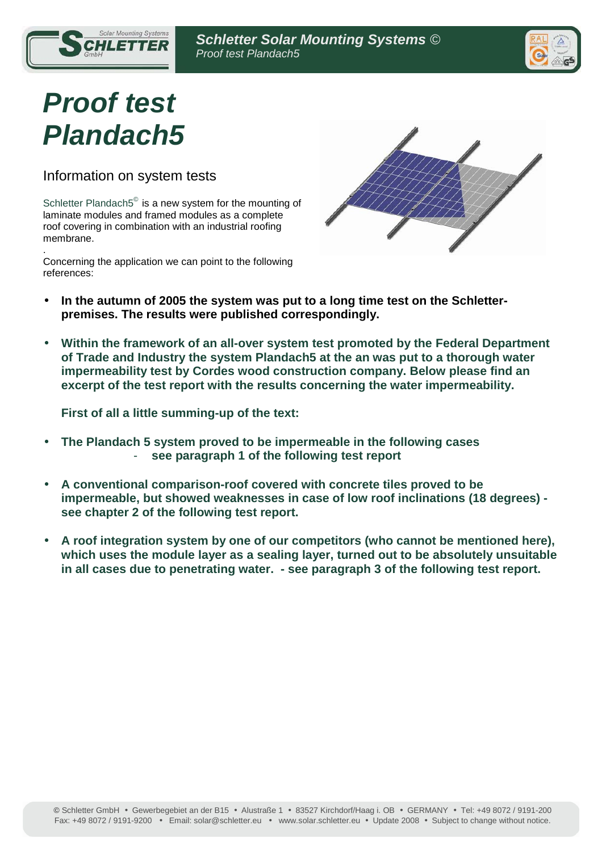

# **Proof test Plandach5**

Ī

Information on system tests

Solar Mounting Systems

Schletter Plandach5<sup>®</sup> is a new system for the mounting of laminate modules and framed modules as a complete roof covering in combination with an industrial roofing membrane.

. Concerning the application we can point to the following references:



- **In the autumn of 2005 the system was put to a long time test on the Schletterpremises. The results were published correspondingly.**
- **Within the framework of an all-over system test promoted by the Federal Department of Trade and Industry the system Plandach5 at the an was put to a thorough water impermeability test by Cordes wood construction company. Below please find an excerpt of the test report with the results concerning the water impermeability.**

**First of all a little summing-up of the text:** 

- **The Plandach 5 system proved to be impermeable in the following cases**  - **see paragraph 1 of the following test report**
- **A conventional comparison-roof covered with concrete tiles proved to be impermeable, but showed weaknesses in case of low roof inclinations (18 degrees) see chapter 2 of the following test report.**
- **A roof integration system by one of our competitors (who cannot be mentioned here), which uses the module layer as a sealing layer, turned out to be absolutely unsuitable in all cases due to penetrating water. - see paragraph 3 of the following test report.**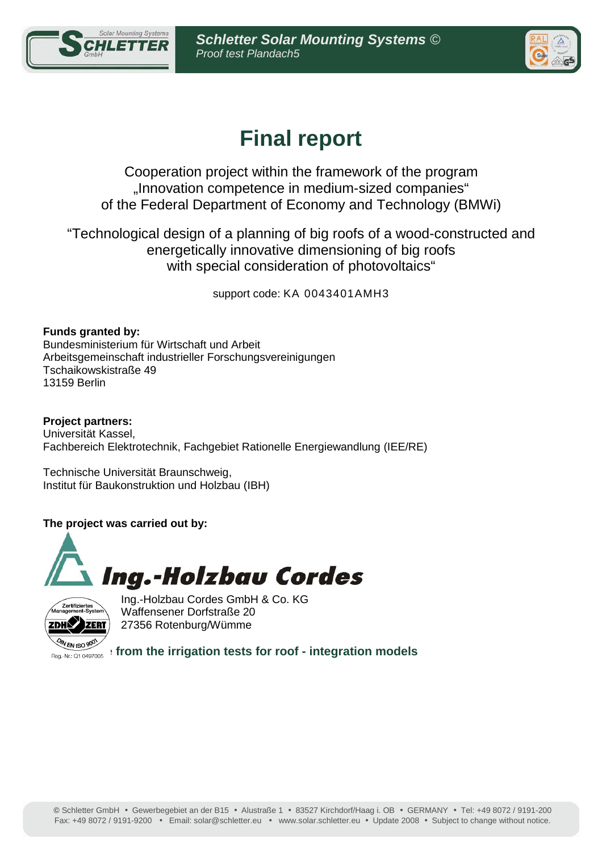



# **Final report**

Cooperation project within the framework of the program "Innovation competence in medium-sized companies" of the Federal Department of Economy and Technology (BMWi)

"Technological design of a planning of big roofs of a wood-constructed and energetically innovative dimensioning of big roofs with special consideration of photovoltaics"

support code: KA 0043401AMH3

**Funds granted by:**  Bundesministerium für Wirtschaft und Arbeit Arbeitsgemeinschaft industrieller Forschungsvereinigungen Tschaikowskistraße 49 13159 Berlin

**Project partners:**  Universität Kassel, Fachbereich Elektrotechnik, Fachgebiet Rationelle Energiewandlung (IEE/RE)

Technische Universität Braunschweig, Institut für Baukonstruktion und Holzbau (IBH)

### **The project was carried out by:**





Ing.-Holzbau Cordes GmbH & Co. KG Waffensener Dorfstraße 20 27356 Rotenburg/Wümme

**Allen iso soft from the irrigation tests for roof - integration models**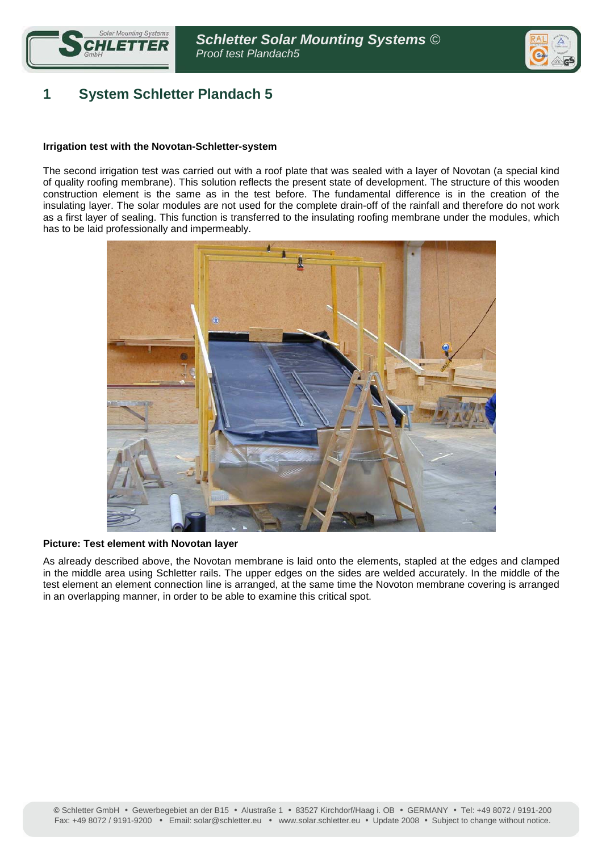



# **1 System Schletter Plandach 5**

#### **Irrigation test with the Novotan-Schletter-system**

The second irrigation test was carried out with a roof plate that was sealed with a layer of Novotan (a special kind of quality roofing membrane). This solution reflects the present state of development. The structure of this wooden construction element is the same as in the test before. The fundamental difference is in the creation of the insulating layer. The solar modules are not used for the complete drain-off of the rainfall and therefore do not work as a first layer of sealing. This function is transferred to the insulating roofing membrane under the modules, which has to be laid professionally and impermeably.



#### **Picture: Test element with Novotan layer**

As already described above, the Novotan membrane is laid onto the elements, stapled at the edges and clamped in the middle area using Schletter rails. The upper edges on the sides are welded accurately. In the middle of the test element an element connection line is arranged, at the same time the Novoton membrane covering is arranged in an overlapping manner, in order to be able to examine this critical spot.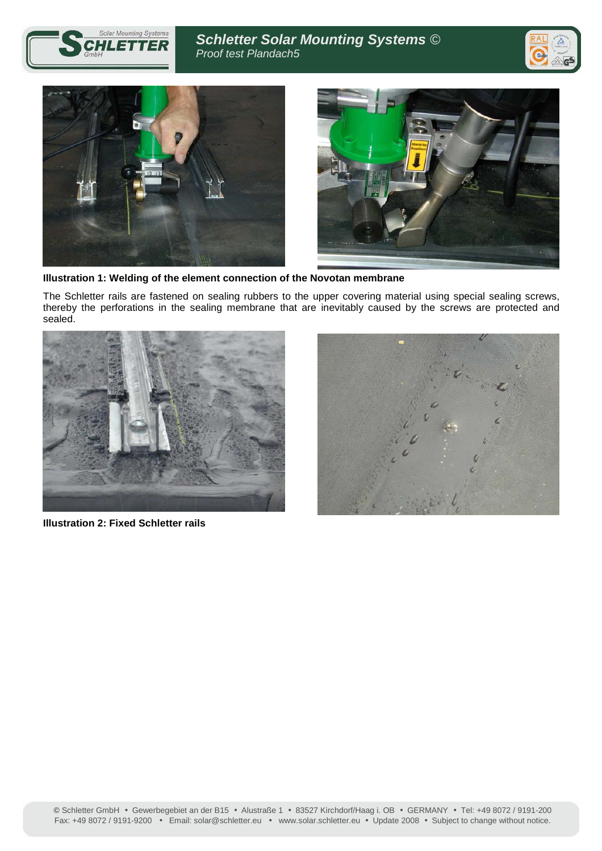







**Illustration 1: Welding of the element connection of the Novotan membrane** 

The Schletter rails are fastened on sealing rubbers to the upper covering material using special sealing screws, thereby the perforations in the sealing membrane that are inevitably caused by the screws are protected and sealed.



**Illustration 2: Fixed Schletter rails** 

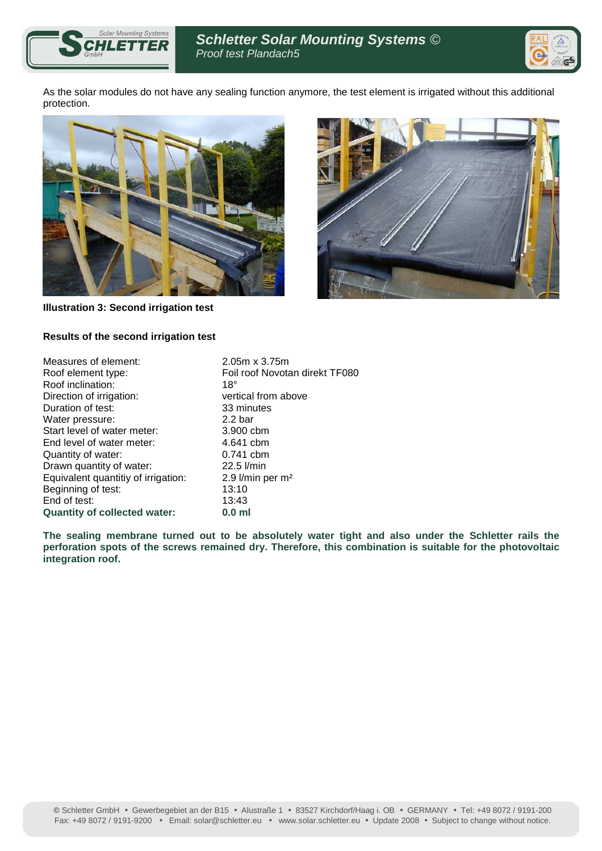



As the solar modules do not have any sealing function anymore, the test element is irrigated without this additional protection.



**Illustration 3: Second irrigation test** 



#### **Results of the second irrigation test**

| $2.05m \times 3.75m$           |
|--------------------------------|
| Foil roof Novotan direkt TF080 |
| $18^{\circ}$                   |
| vertical from above            |
| 33 minutes                     |
| 2.2 <sub>bar</sub>             |
| 3.900 cbm                      |
| 4.641 cbm                      |
| $0.741$ cbm                    |
| $22.5$ $l/min$                 |
| 2.9 $l/min$ per m <sup>2</sup> |
| 13:10                          |
| 13:43                          |
| 0.0 <sub>m</sub>               |
|                                |

**The sealing membrane turned out to be absolutely water tight and also under the Schletter rails the perforation spots of the screws remained dry. Therefore, this combination is suitable for the photovoltaic integration roof.**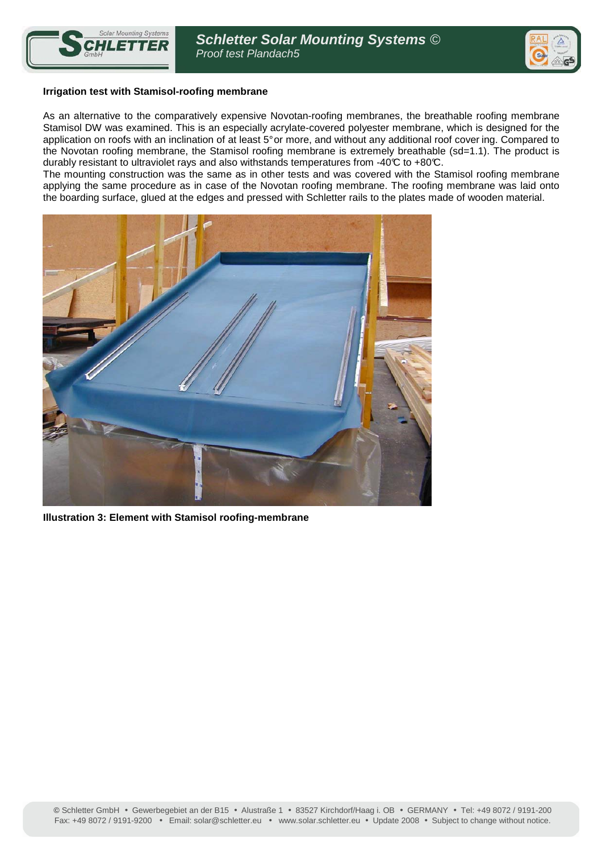



#### **Irrigation test with Stamisol-roofing membrane**

As an alternative to the comparatively expensive Novotan-roofing membranes, the breathable roofing membrane Stamisol DW was examined. This is an especially acrylate-covered polyester membrane, which is designed for the application on roofs with an inclination of at least 5° or more, and without any additional roof cover ing. Compared to the Novotan roofing membrane, the Stamisol roofing membrane is extremely breathable (sd=1.1). The product is durably resistant to ultraviolet rays and also withstands temperatures from -40°C to +80°C.

The mounting construction was the same as in other tests and was covered with the Stamisol roofing membrane applying the same procedure as in case of the Novotan roofing membrane. The roofing membrane was laid onto the boarding surface, glued at the edges and pressed with Schletter rails to the plates made of wooden material.



**Illustration 3: Element with Stamisol roofing-membrane**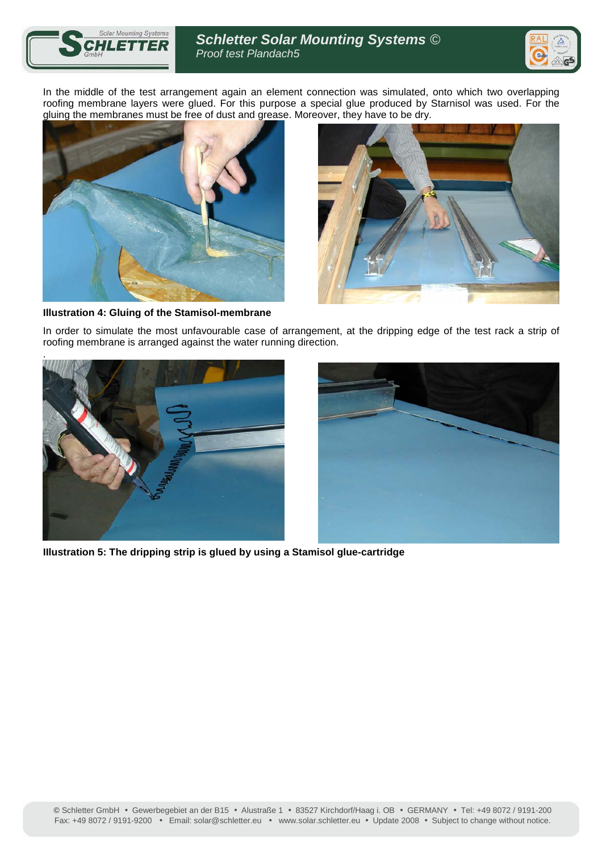



In the middle of the test arrangement again an element connection was simulated, onto which two overlapping roofing membrane layers were glued. For this purpose a special glue produced by Starnisol was used. For the gluing the membranes must be free of dust and grease. Moreover, they have to be dry.





**Illustration 4: Gluing of the Stamisol-membrane** 

In order to simulate the most unfavourable case of arrangement, at the dripping edge of the test rack a strip of roofing membrane is arranged against the water running direction.





**IIlustration 5: The dripping strip is glued by using a Stamisol glue-cartridge**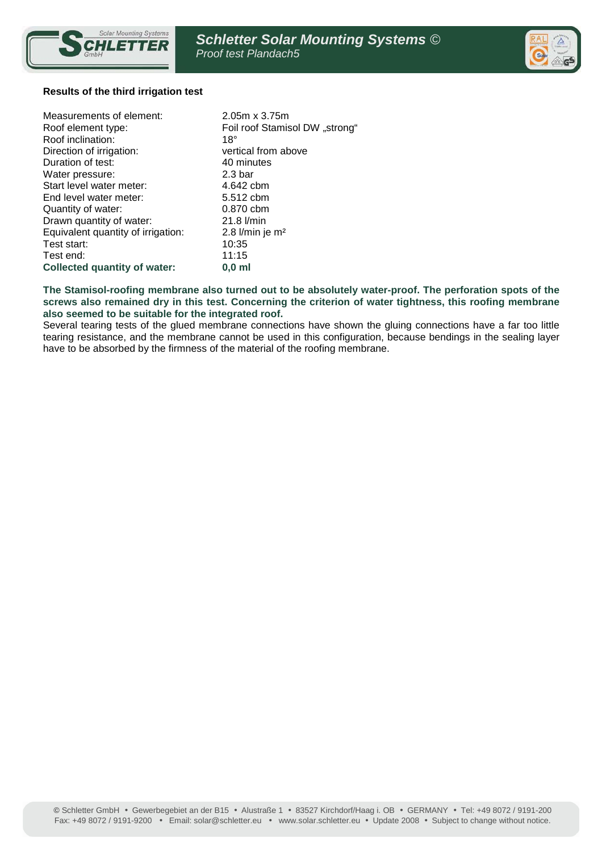



#### **Results of the third irrigation test**

| Measurements of element:           | $2.05m \times 3.75m$           |
|------------------------------------|--------------------------------|
| Roof element type:                 | Foil roof Stamisol DW "strong" |
| Roof inclination:                  | $18^\circ$                     |
| Direction of irrigation:           | vertical from above            |
| Duration of test:                  | 40 minutes                     |
| Water pressure:                    | 2.3 <sub>bar</sub>             |
| Start level water meter:           | 4.642 cbm                      |
| End level water meter:             | 5.512 cbm                      |
| Quantity of water:                 | 0.870 cbm                      |
| Drawn quantity of water:           | $21.8$ $l/min$                 |
| Equivalent quantity of irrigation: | 2.8 $l/min$ je m <sup>2</sup>  |
| Test start:                        | 10:35                          |
| Test end:                          | 11:15                          |
| Collected quantity of water:       | $0.0 \text{ ml}$               |

#### **The Stamisol-roofing membrane also turned out to be absolutely water-proof. The perforation spots of the screws also remained dry in this test. Concerning the criterion of water tightness, this roofing membrane also seemed to be suitable for the integrated roof.**

Several tearing tests of the glued membrane connections have shown the gluing connections have a far too little tearing resistance, and the membrane cannot be used in this configuration, because bendings in the sealing layer have to be absorbed by the firmness of the material of the roofing membrane.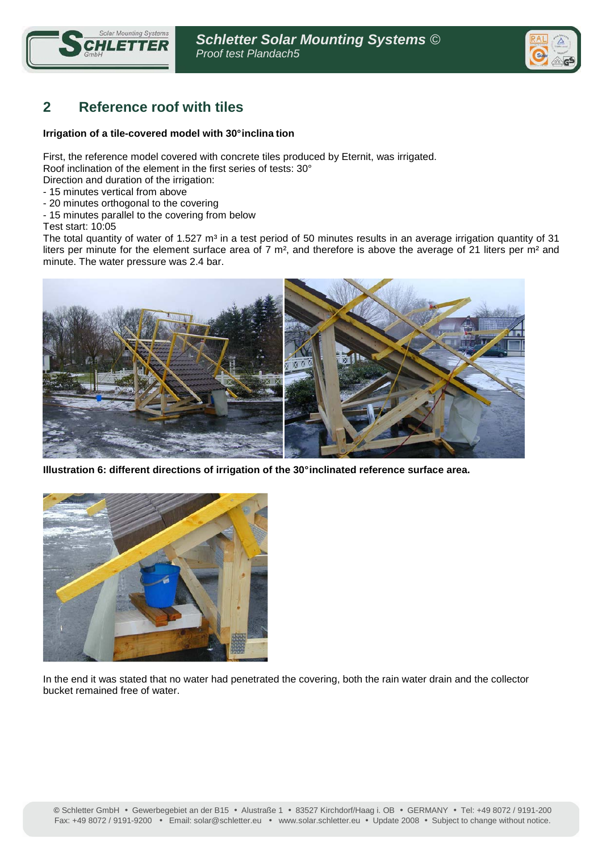



# **2 Reference roof with tiles**

#### **Irrigation of a tile-covered model with 30° inclina tion**

First, the reference model covered with concrete tiles produced by Eternit, was irrigated. Roof inclination of the element in the first series of tests: 30°

- Direction and duration of the irrigation:
- 15 minutes vertical from above
- 20 minutes orthogonal to the covering
- 15 minutes parallel to the covering from below
- Test start: 10:05

The total quantity of water of 1.527  $m<sup>3</sup>$  in a test period of 50 minutes results in an average irrigation quantity of 31 liters per minute for the element surface area of 7 m<sup>2</sup>, and therefore is above the average of 21 liters per m<sup>2</sup> and minute. The water pressure was 2.4 bar.



**Illustration 6: different directions of irrigation of the 30° inclinated reference surface area.** 



In the end it was stated that no water had penetrated the covering, both the rain water drain and the collector bucket remained free of water.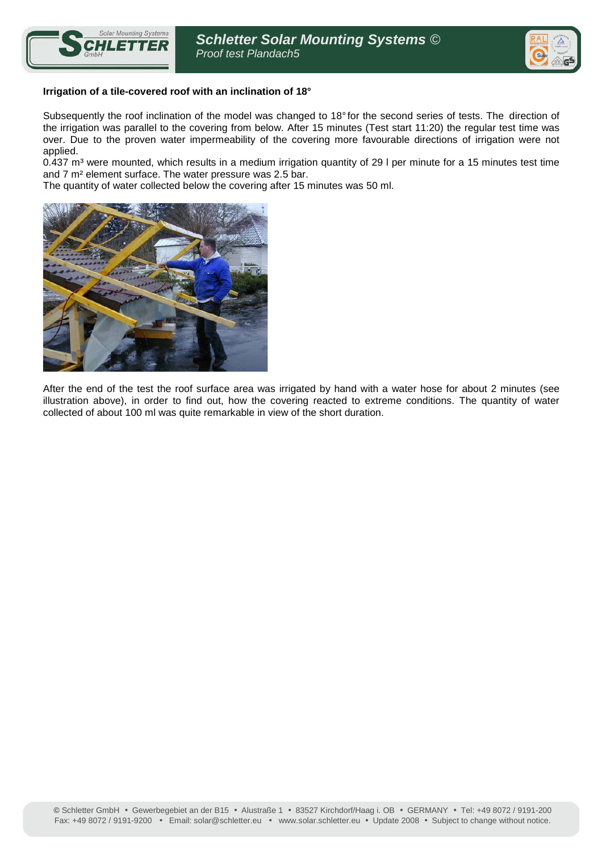



#### **Irrigation of a tile-covered roof with an inclination of 18°**

Subsequently the roof inclination of the model was changed to 18° for the second series of tests. The direction of the irrigation was parallel to the covering from below. After 15 minutes (Test start 11:20) the regular test time was over. Due to the proven water impermeability of the covering more favourable directions of irrigation were not applied.

0.437 m<sup>3</sup> were mounted, which results in a medium irrigation quantity of 29 I per minute for a 15 minutes test time and 7 m² element surface. The water pressure was 2.5 bar.

The quantity of water collected below the covering after 15 minutes was 50 ml.



After the end of the test the roof surface area was irrigated by hand with a water hose for about 2 minutes (see illustration above), in order to find out, how the covering reacted to extreme conditions. The quantity of water collected of about 100 ml was quite remarkable in view of the short duration.